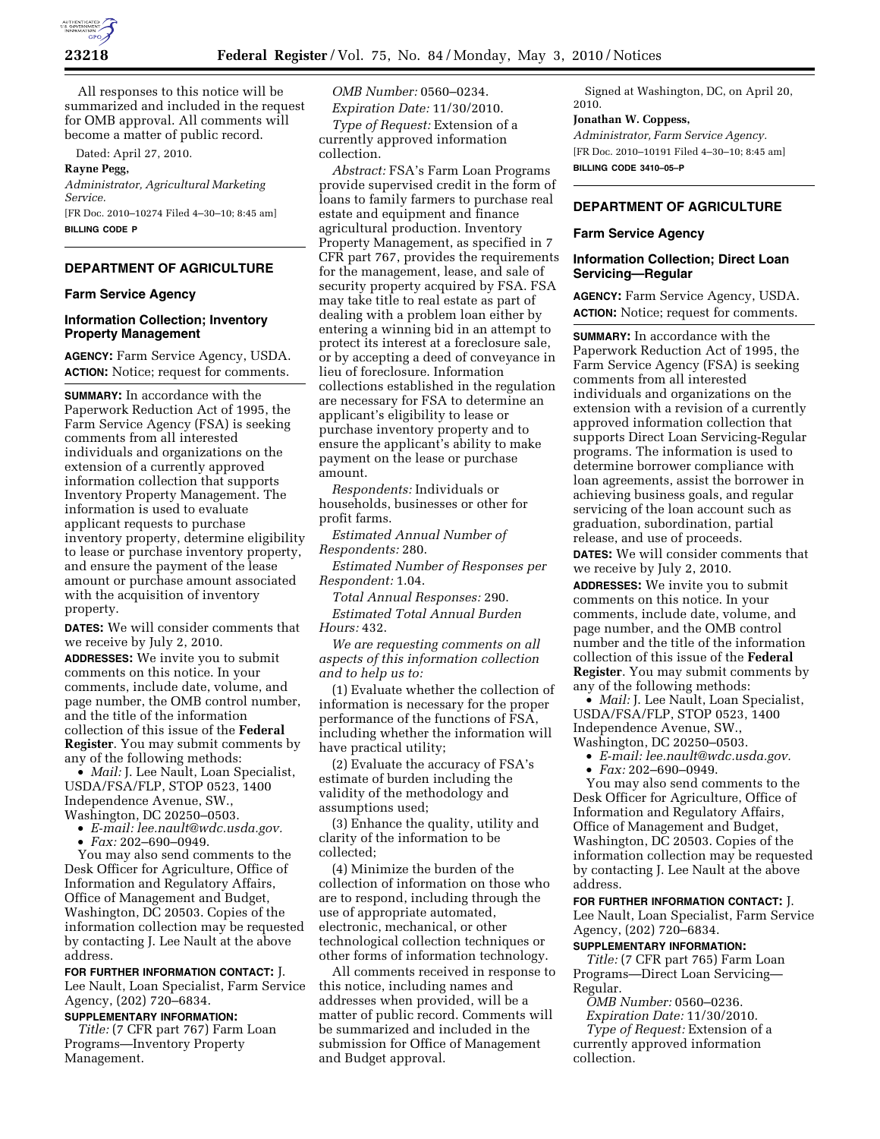

All responses to this notice will be summarized and included in the request for OMB approval. All comments will become a matter of public record.

Dated: April 27, 2010.

#### **Rayne Pegg,**

*Administrator, Agricultural Marketing Service.* 

[FR Doc. 2010–10274 Filed 4–30–10; 8:45 am] **BILLING CODE P** 

# **DEPARTMENT OF AGRICULTURE**

### **Farm Service Agency**

#### **Information Collection; Inventory Property Management**

**AGENCY:** Farm Service Agency, USDA. **ACTION:** Notice; request for comments.

**SUMMARY:** In accordance with the Paperwork Reduction Act of 1995, the Farm Service Agency (FSA) is seeking comments from all interested individuals and organizations on the extension of a currently approved information collection that supports Inventory Property Management. The information is used to evaluate applicant requests to purchase inventory property, determine eligibility to lease or purchase inventory property, and ensure the payment of the lease amount or purchase amount associated with the acquisition of inventory property.

**DATES:** We will consider comments that we receive by July 2, 2010.

**ADDRESSES:** We invite you to submit comments on this notice. In your comments, include date, volume, and page number, the OMB control number, and the title of the information collection of this issue of the **Federal Register**. You may submit comments by any of the following methods:

• *Mail:* J. Lee Nault, Loan Specialist, USDA/FSA/FLP, STOP 0523, 1400 Independence Avenue, SW., Washington, DC 20250–0503.

• *E-mail: lee.nault@wdc.usda.gov.* 

• *Fax:* 202–690–0949.

You may also send comments to the Desk Officer for Agriculture, Office of Information and Regulatory Affairs, Office of Management and Budget, Washington, DC 20503. Copies of the information collection may be requested by contacting J. Lee Nault at the above address.

**FOR FURTHER INFORMATION CONTACT:** J. Lee Nault, Loan Specialist, Farm Service Agency, (202) 720–6834.

# **SUPPLEMENTARY INFORMATION:**

*Title:* (7 CFR part 767) Farm Loan Programs—Inventory Property Management.

*OMB Number:* 0560–0234.

*Expiration Date:* 11/30/2010. *Type of Request:* Extension of a currently approved information collection.

*Abstract:* FSA's Farm Loan Programs provide supervised credit in the form of loans to family farmers to purchase real estate and equipment and finance agricultural production. Inventory Property Management, as specified in 7 CFR part 767, provides the requirements for the management, lease, and sale of security property acquired by FSA. FSA may take title to real estate as part of dealing with a problem loan either by entering a winning bid in an attempt to protect its interest at a foreclosure sale, or by accepting a deed of conveyance in lieu of foreclosure. Information collections established in the regulation are necessary for FSA to determine an applicant's eligibility to lease or purchase inventory property and to ensure the applicant's ability to make payment on the lease or purchase amount.

*Respondents:* Individuals or households, businesses or other for profit farms.

*Estimated Annual Number of Respondents:* 280.

*Estimated Number of Responses per Respondent:* 1.04.

*Total Annual Responses:* 290. *Estimated Total Annual Burden Hours:* 432.

*We are requesting comments on all aspects of this information collection and to help us to:* 

(1) Evaluate whether the collection of information is necessary for the proper performance of the functions of FSA, including whether the information will have practical utility;

(2) Evaluate the accuracy of FSA's estimate of burden including the validity of the methodology and assumptions used;

(3) Enhance the quality, utility and clarity of the information to be collected;

(4) Minimize the burden of the collection of information on those who are to respond, including through the use of appropriate automated, electronic, mechanical, or other technological collection techniques or other forms of information technology.

All comments received in response to this notice, including names and addresses when provided, will be a matter of public record. Comments will be summarized and included in the submission for Office of Management and Budget approval.

Signed at Washington, DC, on April 20, 2010.

## **Jonathan W. Coppess,**

*Administrator, Farm Service Agency.*  [FR Doc. 2010–10191 Filed 4–30–10; 8:45 am] **BILLING CODE 3410–05–P** 

## **DEPARTMENT OF AGRICULTURE**

#### **Farm Service Agency**

## **Information Collection; Direct Loan Servicing—Regular**

**AGENCY:** Farm Service Agency, USDA. **ACTION:** Notice; request for comments.

**SUMMARY:** In accordance with the Paperwork Reduction Act of 1995, the Farm Service Agency (FSA) is seeking comments from all interested individuals and organizations on the extension with a revision of a currently approved information collection that supports Direct Loan Servicing-Regular programs. The information is used to determine borrower compliance with loan agreements, assist the borrower in achieving business goals, and regular servicing of the loan account such as graduation, subordination, partial release, and use of proceeds.

**DATES:** We will consider comments that we receive by July 2, 2010.

**ADDRESSES:** We invite you to submit comments on this notice. In your comments, include date, volume, and page number, and the OMB control number and the title of the information collection of this issue of the **Federal Register**. You may submit comments by any of the following methods:

• *Mail:* J. Lee Nault, Loan Specialist, USDA/FSA/FLP, STOP 0523, 1400 Independence Avenue, SW., Washington, DC 20250–0503.

• *E-mail: lee.nault@wdc.usda.gov.* 

• *Fax:* 202–690–0949.

You may also send comments to the Desk Officer for Agriculture, Office of Information and Regulatory Affairs, Office of Management and Budget, Washington, DC 20503. Copies of the information collection may be requested by contacting J. Lee Nault at the above address.

## **FOR FURTHER INFORMATION CONTACT:** J.

Lee Nault, Loan Specialist, Farm Service Agency, (202) 720–6834.

## **SUPPLEMENTARY INFORMATION:**

*Title:* (7 CFR part 765) Farm Loan Programs—Direct Loan Servicing— Regular.

*OMB Number:* 0560–0236.

*Expiration Date:* 11/30/2010. *Type of Request:* Extension of a currently approved information collection.